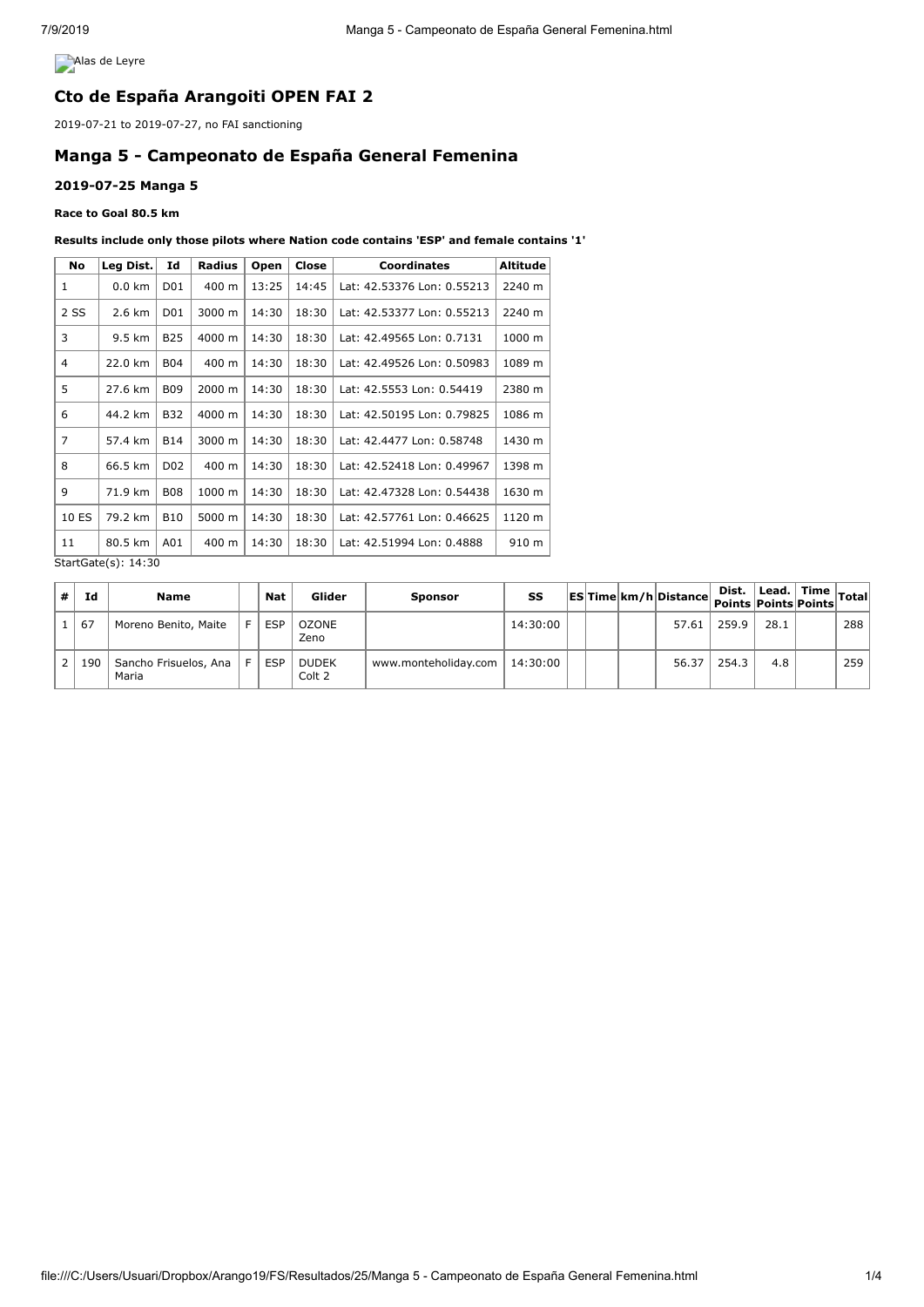**Alas de Leyre** 

## **Cto de España Arangoiti OPEN FAI 2**

2019-07-21 to 2019-07-27, no FAI sanctioning

# **Manga 5 - Campeonato de España General Femenina**

### **2019-07-25 Manga 5**

#### **Race to Goal 80.5 km**

#### **Results include only those pilots where Nation code contains 'ESP' and female contains '1'**

| <b>No</b>      | Leg Dist. | Id               | Radius | Open  | Close | <b>Coordinates</b>         | <b>Altitude</b> |
|----------------|-----------|------------------|--------|-------|-------|----------------------------|-----------------|
| 1              | $0.0$ km  | D01              | 400 m  | 13:25 | 14:45 | Lat: 42.53376 Lon: 0.55213 | 2240 m          |
| 2 SS           | 2.6 km    | D01              | 3000 m | 14:30 | 18:30 | Lat: 42.53377 Lon: 0.55213 | 2240 m          |
| 3              | 9.5 km    | <b>B25</b>       | 4000 m | 14:30 | 18:30 | Lat: 42.49565 Lon: 0.7131  | 1000 m          |
| 4              | 22.0 km   | <b>B04</b>       | 400 m  | 14:30 | 18:30 | Lat: 42.49526 Lon: 0.50983 | 1089 m          |
| 5              | 27.6 km   | <b>B09</b>       | 2000 m | 14:30 | 18:30 | Lat: 42.5553 Lon: 0.54419  | 2380 m          |
| 6              | 44.2 km   | B32              | 4000 m | 14:30 | 18:30 | Lat: 42.50195 Lon: 0.79825 | 1086 m          |
| $\overline{7}$ | 57.4 km   | <b>B14</b>       | 3000 m | 14:30 | 18:30 | Lat: 42.4477 Lon: 0.58748  | 1430 m          |
| 8              | 66.5 km   | D <sub>0</sub> 2 | 400 m  | 14:30 | 18:30 | Lat: 42.52418 Lon: 0.49967 | 1398 m          |
| 9              | 71.9 km   | <b>B08</b>       | 1000 m | 14:30 | 18:30 | Lat: 42.47328 Lon: 0.54438 | 1630 m          |
| 10 ES          | 79.2 km   | <b>B10</b>       | 5000 m | 14:30 | 18:30 | Lat: 42.57761 Lon: 0.46625 | 1120 m          |
| 11             | 80.5 km   | A01              | 400 m  | 14:30 | 18:30 | Lat: 42.51994 Lon: 0.4888  | 910 m           |

StartGate(s): 14:30

| # | Id  | Name                           | <b>Nat</b> | Glider                 | <b>Sponsor</b>       | SS       |  | ESTime km/h Distance Dist. Lead. Time Total |       |      |     |
|---|-----|--------------------------------|------------|------------------------|----------------------|----------|--|---------------------------------------------|-------|------|-----|
|   | 67  | Moreno Benito, Maite           | <b>ESP</b> | <b>OZONE</b><br>Zeno   |                      | 14:30:00 |  | 57.61                                       | 259.9 | 28.1 | 288 |
|   | 190 | Sancho Frisuelos, Ana<br>Maria | <b>ESP</b> | <b>DUDEK</b><br>Colt 2 | www.monteholiday.com | 14:30:00 |  | 56.37                                       | 254.3 | 4.8  | 259 |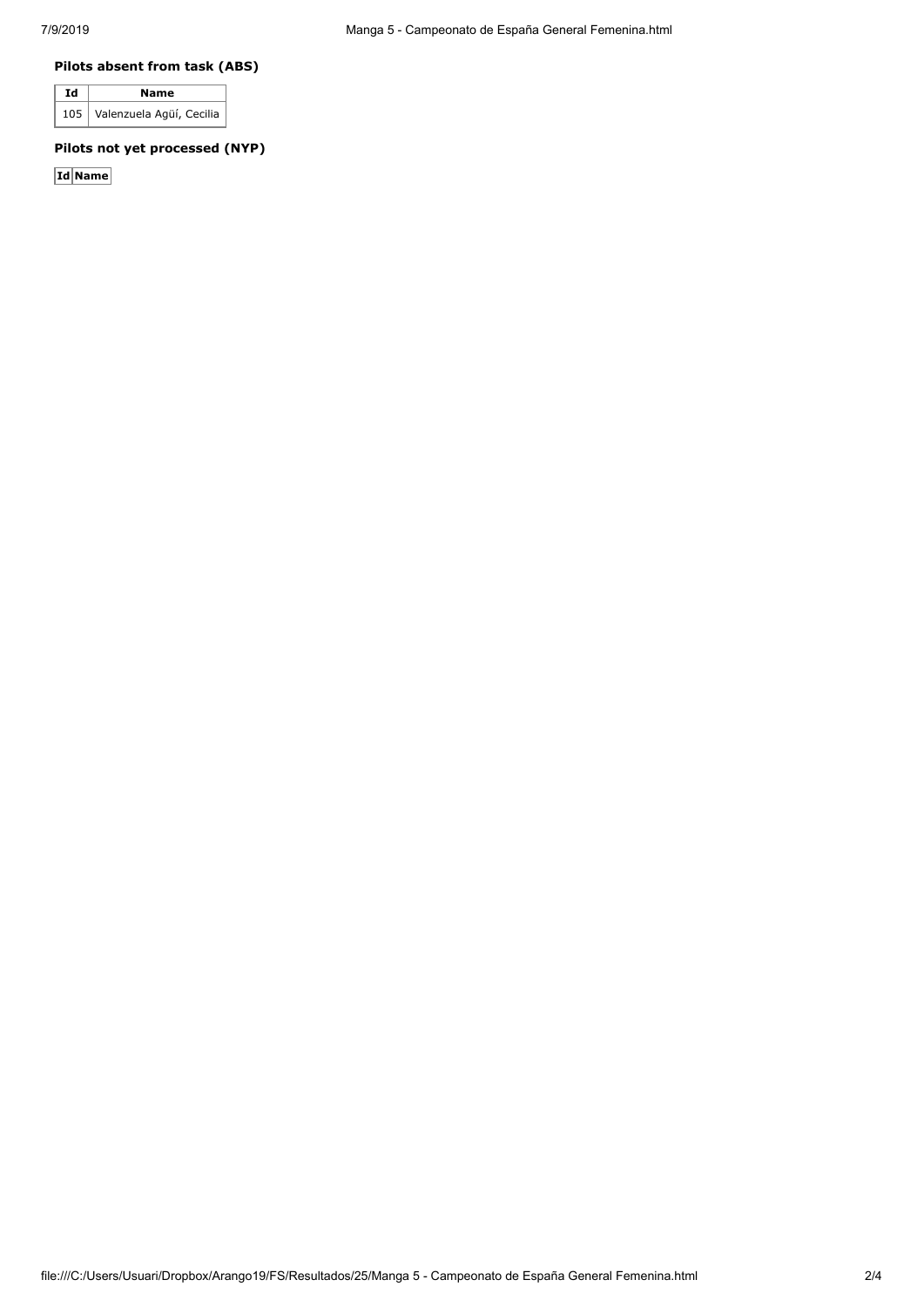### **Pilots absent from task (ABS)**

| Id | Name                         |  |  |  |  |  |
|----|------------------------------|--|--|--|--|--|
|    | 105 Valenzuela Agüí, Cecilia |  |  |  |  |  |

### **Pilots not yet processed (NYP)**

**Id Name**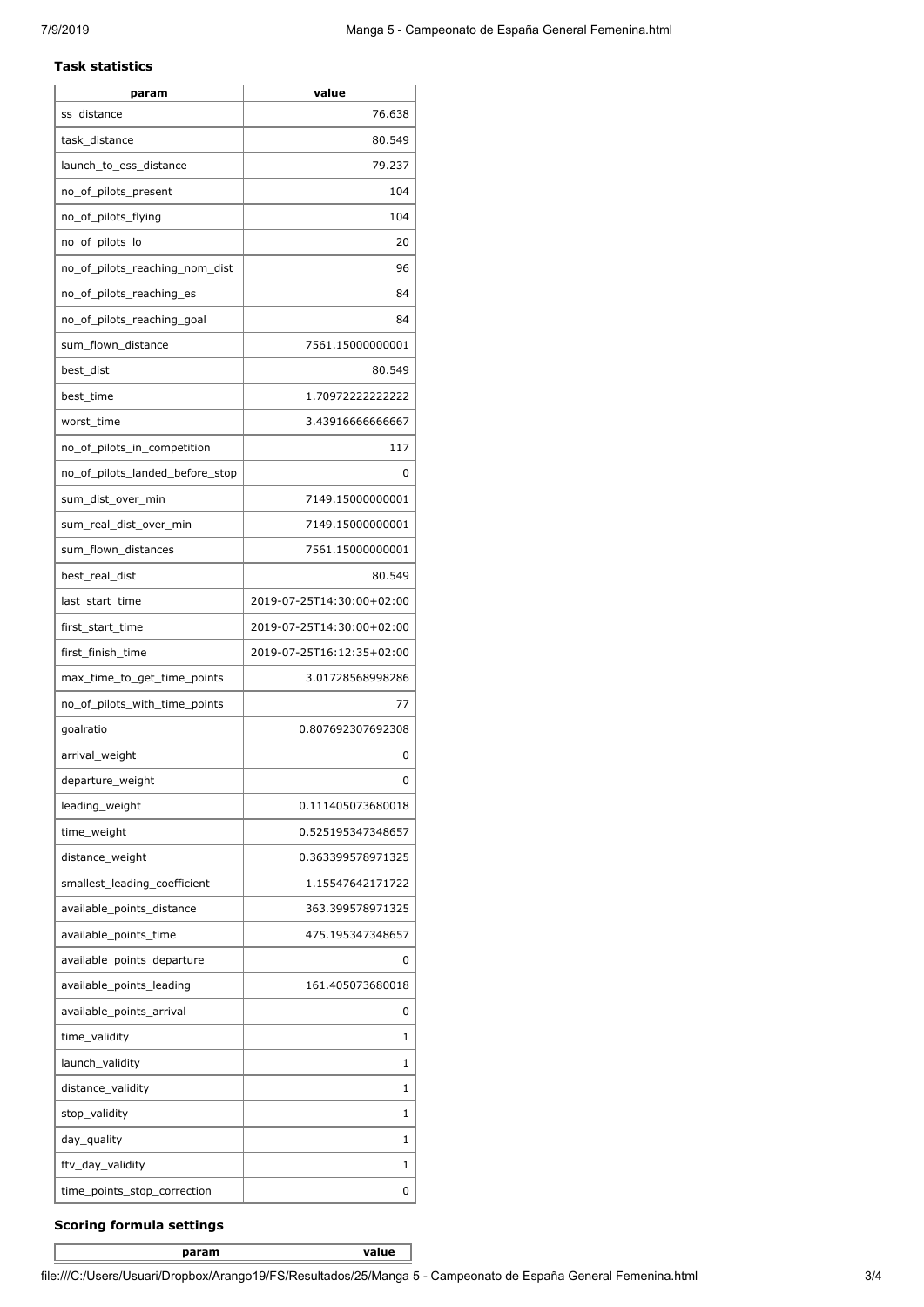#### **Task statistics**

| param                           | value                     |
|---------------------------------|---------------------------|
| ss distance                     | 76.638                    |
| task_distance                   | 80.549                    |
| launch_to_ess_distance          | 79.237                    |
| no_of_pilots_present            | 104                       |
| no_of_pilots_flying             | 104                       |
| no_of_pilots_lo                 | 20                        |
| no of pilots reaching nom dist  | 96                        |
| no_of_pilots_reaching_es        | 84                        |
| no_of_pilots_reaching_goal      | 84                        |
| sum_flown_distance              | 7561.15000000001          |
| best_dist                       | 80.549                    |
| best_time                       | 1.70972222222222          |
| worst_time                      | 3.43916666666667          |
| no_of_pilots_in_competition     | 117                       |
| no_of_pilots_landed_before_stop | 0                         |
| sum_dist_over_min               | 7149.15000000001          |
| sum_real_dist_over_min          | 7149.15000000001          |
| sum_flown_distances             | 7561.15000000001          |
| best_real_dist                  | 80.549                    |
| last_start_time                 | 2019-07-25T14:30:00+02:00 |
| first_start_time                | 2019-07-25T14:30:00+02:00 |
| first_finish_time               | 2019-07-25T16:12:35+02:00 |
| max_time_to_get_time_points     | 3.01728568998286          |
| no_of_pilots_with_time_points   | 77                        |
| goalratio                       | 0.807692307692308         |
| arrival_weight                  | 0                         |
| departure_weight                | 0                         |
| leading_weight                  | 0.111405073680018         |
| time_weight                     | 0.525195347348657         |
| distance weight                 | 0.363399578971325         |
| smallest leading coefficient    | 1.15547642171722          |
| available_points_distance       | 363.399578971325          |
| available_points_time           | 475.195347348657          |
| available_points_departure      | 0                         |
| available_points_leading        | 161.405073680018          |
| available_points_arrival        | 0                         |
| time_validity                   | 1                         |
| launch_validity                 | 1                         |
| distance_validity               | 1                         |
| stop_validity                   | 1                         |
| day_quality                     | 1                         |
| ftv_day_validity                | 1                         |
| time_points_stop_correction     | 0                         |

### **Scoring formula settings**

**param value**